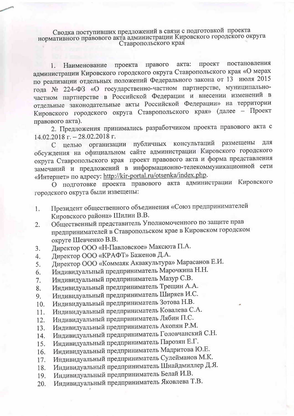Сводка поступивших предложений в связи с подготовкой проекта нормативного правового акта администрации Кировского городского округа Ставропольского края

постановления проект правого акта: Наименование проекта  $1.$ администрации Кировского городского округа Ставропольского края «О мерах по реализации отдельных положений Федерального закона от 13 июля 2015 года № 224-ФЗ «О государственно-частном партнерстве, муниципальночастном партнерстве в Российской Федерации и внесении изменений в отдельные законодательные акты Российской Федерации» на территории Кировского городского округа Ставропольского края» (далее - Проект правового акта).

2. Предложения принимались разработчиком проекта правового акта с  $14.02.2018$  г. - 28.02.2018 г.

публичных консультаций размещены ЛЛЯ С целью организации обсуждения на официальном сайте администрации Кировского городского округа Ставропольского края проект правового акта и форма представления замечаний и предложений в информационно-телекоммуникационной сети «Интернет» по адресу: http://kir-portal.ru/otsenka/index.php.

О подготовке проекта правового акта администрации Кировского городского округа были извещены:

- Президент общественного объединения «Союз предпринимателей  $1.$ Кировского района» Шилин В.В.
- Общественный представитель Уполномоченного по защите прав  $2.$ предпринимателей в Ставропольском крае в Кировском городском округе Шевченко В.В.
- Директор ООО «Н-Павловское» Максюта П.А. 3.
- Директор ООО «КРАФТ» Баженов Д.А.  $4.$
- Директор ООО «Коммаяк Аквакультура» Марасанов Е.И. 5.
- Индивидуальный предприниматель Марочкина Н.Н. 6.
- Индивидуальный предприниматель Мазур С.В.  $7.$
- Индивидуальный предприниматель Трещин А.А. 8.
- Индивидуальный предприниматель Ширяев И.С. 9.
- Индивидуальный предприниматель Зотова Н.В. 10.
- Индивидуальный предприниматель Ковалева С.А. 11.
- Индивидуальный предприниматель Лябин П.С.  $12.$
- Индивидуальный предприниматель Акопян Р.М. 13.
- Индивидуальный предприниматель Головчанский С.Н. 14.
- Индивидуальный предприниматель Парозян Е.Г. 15.
- Индивидуальный предприниматель Мадритова Ю.Е. 16.
- Индивидуальный предприниматель Сулейманов М.К. 17.
- Индивидуальный предприниматель Шнайдмиллер Д.Я. 18.
- Индивидуальный предприниматель Белай И.В. 19.
- Индивидуальный предприниматель Яковлева Т.В. 20.